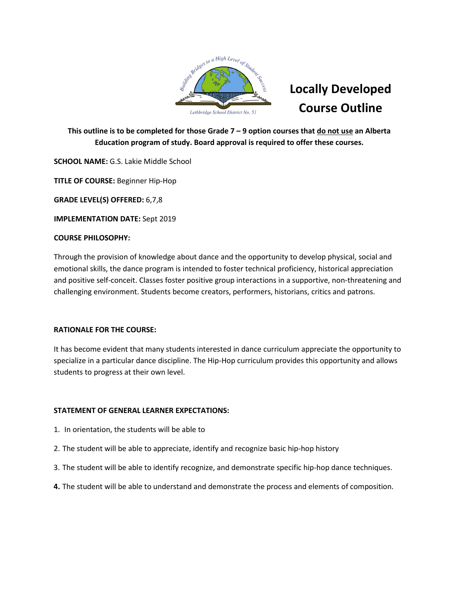

This outline is to be completed for those Grade 7 - 9 option courses that do not use an Alberta **Education program of study. Board approval is required to offer these courses.**

**SCHOOL NAME:** G.S. Lakie Middle School

**TITLE OF COURSE:** Beginner Hip-Hop

**GRADE LEVEL(S) OFFERED:** 6,7,8

**IMPLEMENTATION DATE:** Sept 2019

## **COURSE PHILOSOPHY:**

Through the provision of knowledge about dance and the opportunity to develop physical, social and emotional skills, the dance program is intended to foster technical proficiency, historical appreciation and positive self-conceit. Classes foster positive group interactions in a supportive, non-threatening and challenging environment. Students become creators, performers, historians, critics and patrons.

## **RATIONALE FOR THE COURSE:**

It has become evident that many students interested in dance curriculum appreciate the opportunity to specialize in a particular dance discipline. The Hip-Hop curriculum provides this opportunity and allows students to progress at their own level.

# **STATEMENT OF GENERAL LEARNER EXPECTATIONS:**

- 1. In orientation, the students will be able to
- 2. The student will be able to appreciate, identify and recognize basic hip-hop history
- 3. The student will be able to identify recognize, and demonstrate specific hip-hop dance techniques.
- **4.** The student will be able to understand and demonstrate the process and elements of composition.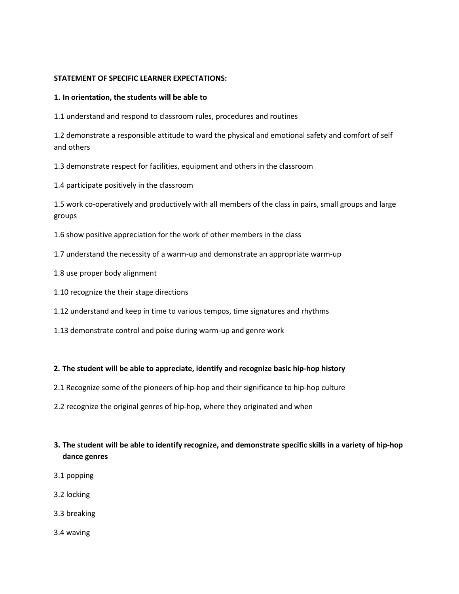#### **STATEMENT OF SPECIFIC LEARNER EXPECTATIONS:**

#### **1. In orientation, the students will be able to**

1.1 understand and respond to classroom rules, procedures and routines

1.2 demonstrate a responsible attitude to ward the physical and emotional safety and comfort of self and others

1.3 demonstrate respect for facilities, equipment and others in the classroom

1.4 participate positively in the classroom

1.5 work co-operatively and productively with all members of the class in pairs, small groups and large groups

1.6 show positive appreciation for the work of other members in the class

- 1.7 understand the necessity of a warm-up and demonstrate an appropriate warm-up
- 1.8 use proper body alignment
- 1.10 recognize the their stage directions

1.12 understand and keep in time to various tempos, time signatures and rhythms

1.13 demonstrate control and poise during warm-up and genre work

## **2. The student will be able to appreciate, identify and recognize basic hip-hop history**

- 2.1 Recognize some of the pioneers of hip-hop and their significance to hip-hop culture
- 2.2 recognize the original genres of hip-hop, where they originated and when

# 3. The student will be able to identify recognize, and demonstrate specific skills in a variety of hip-hop **dance genres**

- 3.1 popping
- 3.2 locking
- 3.3 breaking
- 3.4 waving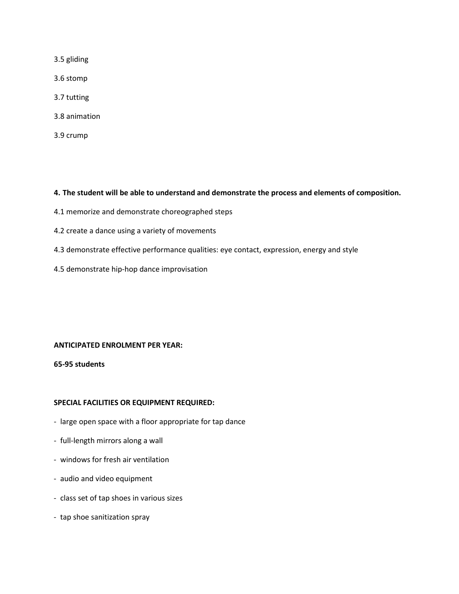3.5 gliding

3.6 stomp

- 3.7 tutting
- 3.8 animation
- 3.9 crump

#### **4. The student will be able to understand and demonstrate the process and elements of composition.**

- 4.1 memorize and demonstrate choreographed steps
- 4.2 create a dance using a variety of movements
- 4.3 demonstrate effective performance qualities: eye contact, expression, energy and style
- 4.5 demonstrate hip-hop dance improvisation

#### **ANTICIPATED ENROLMENT PER YEAR:**

**65-95 students**

#### **SPECIAL FACILITIES OR EQUIPMENT REQUIRED:**

- large open space with a floor appropriate for tap dance
- full-length mirrors along a wall
- windows for fresh air ventilation
- audio and video equipment
- class set of tap shoes in various sizes
- tap shoe sanitization spray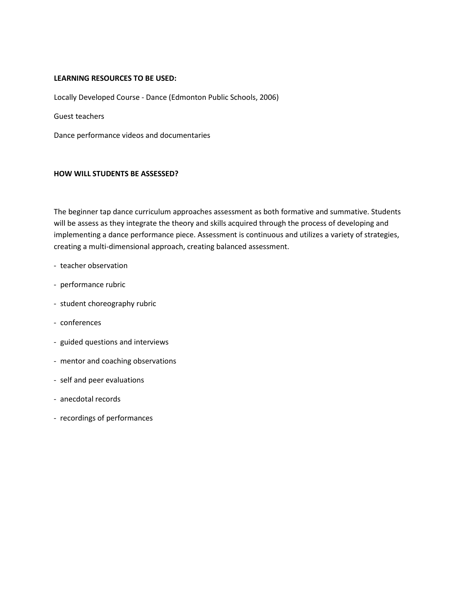#### **LEARNING RESOURCES TO BE USED:**

Locally Developed Course - Dance (Edmonton Public Schools, 2006)

Guest teachers

Dance performance videos and documentaries

#### **HOW WILL STUDENTS BE ASSESSED?**

The beginner tap dance curriculum approaches assessment as both formative and summative. Students will be assess as they integrate the theory and skills acquired through the process of developing and implementing a dance performance piece. Assessment is continuous and utilizes a variety of strategies, creating a multi-dimensional approach, creating balanced assessment.

- teacher observation
- performance rubric
- student choreography rubric
- conferences
- guided questions and interviews
- mentor and coaching observations
- self and peer evaluations
- anecdotal records
- recordings of performances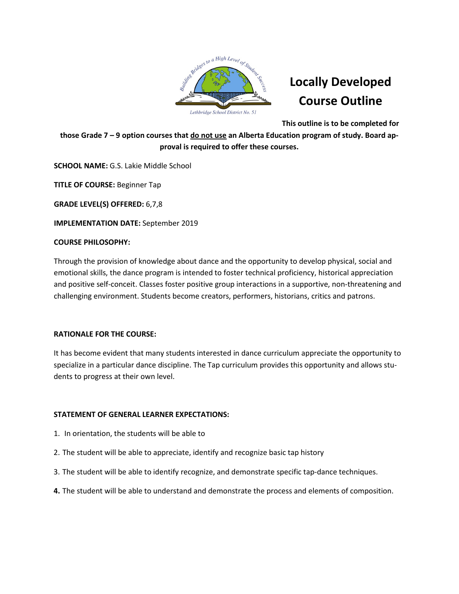

**This outline is to be completed for**

those Grade 7 - 9 option courses that do not use an Alberta Education program of study. Board ap**proval is required to offer these courses.**

**SCHOOL NAME:** G.S. Lakie Middle School

**TITLE OF COURSE:** Beginner Tap

**GRADE LEVEL(S) OFFERED:** 6,7,8

**IMPLEMENTATION DATE:** September 2019

#### **COURSE PHILOSOPHY:**

Through the provision of knowledge about dance and the opportunity to develop physical, social and emotional skills, the dance program is intended to foster technical proficiency, historical appreciation and positive self-conceit. Classes foster positive group interactions in a supportive, non-threatening and challenging environment. Students become creators, performers, historians, critics and patrons.

## **RATIONALE FOR THE COURSE:**

It has become evident that many students interested in dance curriculum appreciate the opportunity to specialize in a particular dance discipline. The Tap curriculum provides this opportunity and allows students to progress at their own level.

## **STATEMENT OF GENERAL LEARNER EXPECTATIONS:**

- 1. In orientation, the students will be able to
- 2. The student will be able to appreciate, identify and recognize basic tap history
- 3. The student will be able to identify recognize, and demonstrate specific tap-dance techniques.
- **4.** The student will be able to understand and demonstrate the process and elements of composition.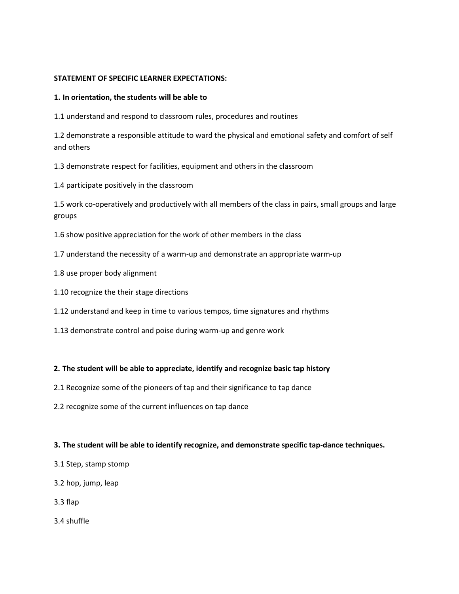#### **STATEMENT OF SPECIFIC LEARNER EXPECTATIONS:**

#### **1. In orientation, the students will be able to**

1.1 understand and respond to classroom rules, procedures and routines

1.2 demonstrate a responsible attitude to ward the physical and emotional safety and comfort of self and others

1.3 demonstrate respect for facilities, equipment and others in the classroom

1.4 participate positively in the classroom

1.5 work co-operatively and productively with all members of the class in pairs, small groups and large groups

1.6 show positive appreciation for the work of other members in the class

- 1.7 understand the necessity of a warm-up and demonstrate an appropriate warm-up
- 1.8 use proper body alignment
- 1.10 recognize the their stage directions
- 1.12 understand and keep in time to various tempos, time signatures and rhythms
- 1.13 demonstrate control and poise during warm-up and genre work

## **2. The student will be able to appreciate, identify and recognize basic tap history**

- 2.1 Recognize some of the pioneers of tap and their significance to tap dance
- 2.2 recognize some of the current influences on tap dance

## **3. The student will be able to identify recognize, and demonstrate specific tap-dance techniques.**

- 3.1 Step, stamp stomp
- 3.2 hop, jump, leap
- 3.3 flap
- 3.4 shuffle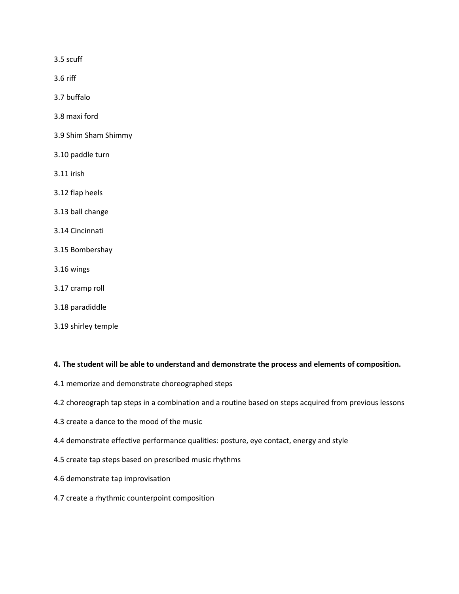3.5 scuff

3.6 riff

3.7 buffalo

- 3.8 maxi ford
- 3.9 Shim Sham Shimmy
- 3.10 paddle turn
- 3.11 irish
- 3.12 flap heels
- 3.13 ball change
- 3.14 Cincinnati
- 3.15 Bombershay
- 3.16 wings
- 3.17 cramp roll
- 3.18 paradiddle
- 3.19 shirley temple

#### **4. The student will be able to understand and demonstrate the process and elements of composition.**

- 4.1 memorize and demonstrate choreographed steps
- 4.2 choreograph tap steps in a combination and a routine based on steps acquired from previous lessons
- 4.3 create a dance to the mood of the music
- 4.4 demonstrate effective performance qualities: posture, eye contact, energy and style
- 4.5 create tap steps based on prescribed music rhythms
- 4.6 demonstrate tap improvisation
- 4.7 create a rhythmic counterpoint composition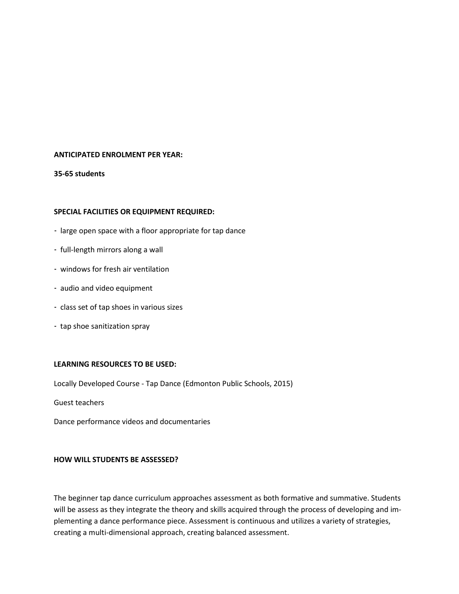#### **ANTICIPATED ENROLMENT PER YEAR:**

**35-65 students**

#### **SPECIAL FACILITIES OR EQUIPMENT REQUIRED:**

- large open space with a floor appropriate for tap dance
- full-length mirrors along a wall
- windows for fresh air ventilation
- audio and video equipment
- class set of tap shoes in various sizes
- tap shoe sanitization spray

#### **LEARNING RESOURCES TO BE USED:**

Locally Developed Course - Tap Dance (Edmonton Public Schools, 2015)

Guest teachers

Dance performance videos and documentaries

#### **HOW WILL STUDENTS BE ASSESSED?**

The beginner tap dance curriculum approaches assessment as both formative and summative. Students will be assess as they integrate the theory and skills acquired through the process of developing and implementing a dance performance piece. Assessment is continuous and utilizes a variety of strategies, creating a multi-dimensional approach, creating balanced assessment.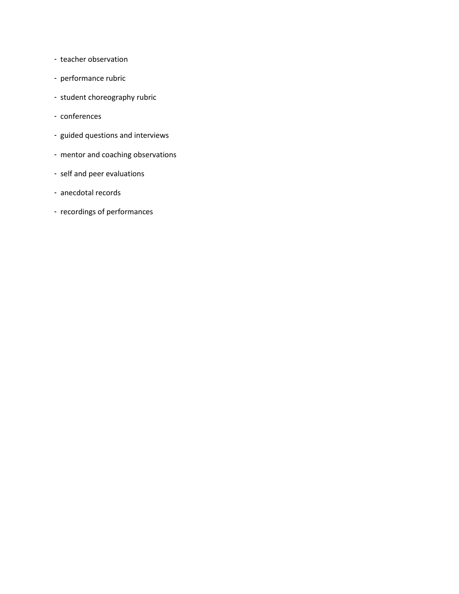- teacher observation
- performance rubric
- student choreography rubric
- conferences
- guided questions and interviews
- mentor and coaching observations
- self and peer evaluations
- anecdotal records
- recordings of performances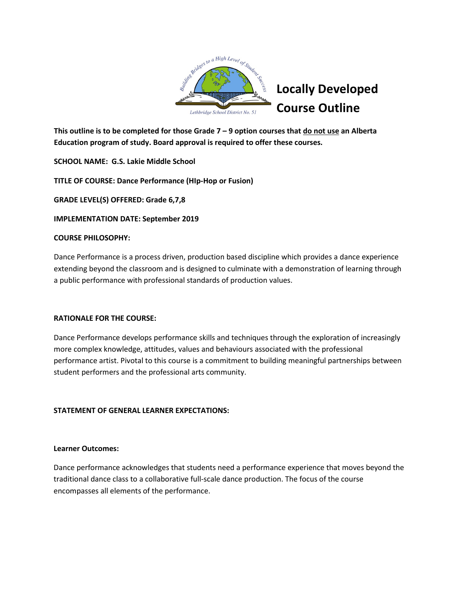

This outline is to be completed for those Grade  $7 - 9$  option courses that  $\underline{do}$  not use an Alberta **Education program of study. Board approval is required to offer these courses.**

**SCHOOL NAME: G.S. Lakie Middle School**

**TITLE OF COURSE: Dance Performance (HIp-Hop or Fusion)**

**GRADE LEVEL(S) OFFERED: Grade 6,7,8**

**IMPLEMENTATION DATE: September 2019**

## **COURSE PHILOSOPHY:**

Dance Performance is a process driven, production based discipline which provides a dance experience extending beyond the classroom and is designed to culminate with a demonstration of learning through a public performance with professional standards of production values.

# **RATIONALE FOR THE COURSE:**

Dance Performance develops performance skills and techniques through the exploration of increasingly more complex knowledge, attitudes, values and behaviours associated with the professional performance artist. Pivotal to this course is a commitment to building meaningful partnerships between student performers and the professional arts community.

# **STATEMENT OF GENERAL LEARNER EXPECTATIONS:**

## **Learner Outcomes:**

Dance performance acknowledges that students need a performance experience that moves beyond the traditional dance class to a collaborative full-scale dance production. The focus of the course encompasses all elements of the performance.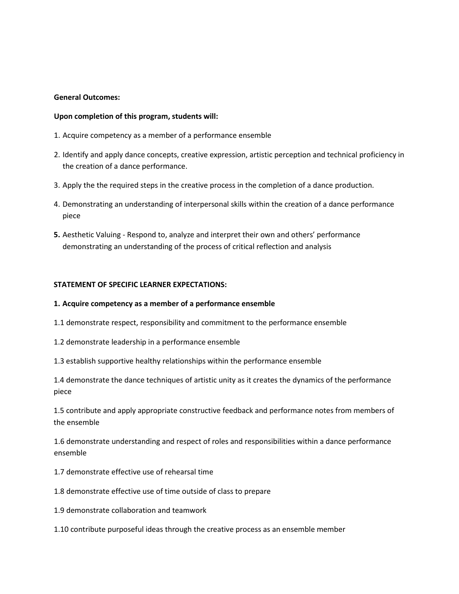#### **General Outcomes:**

#### **Upon completion of this program, students will:**

- 1. Acquire competency as a member of a performance ensemble
- 2. Identify and apply dance concepts, creative expression, artistic perception and technical proficiency in the creation of a dance performance.
- 3. Apply the the required steps in the creative process in the completion of a dance production.
- 4. Demonstrating an understanding of interpersonal skills within the creation of a dance performance piece
- **5.** Aesthetic Valuing Respond to, analyze and interpret their own and others' performance demonstrating an understanding of the process of critical reflection and analysis

#### **STATEMENT OF SPECIFIC LEARNER EXPECTATIONS:**

#### **1. Acquire competency as a member of a performance ensemble**

1.1 demonstrate respect, responsibility and commitment to the performance ensemble

1.2 demonstrate leadership in a performance ensemble

1.3 establish supportive healthy relationships within the performance ensemble

1.4 demonstrate the dance techniques of artistic unity as it creates the dynamics of the performance piece

1.5 contribute and apply appropriate constructive feedback and performance notes from members of the ensemble

1.6 demonstrate understanding and respect of roles and responsibilities within a dance performance ensemble

- 1.7 demonstrate effective use of rehearsal time
- 1.8 demonstrate effective use of time outside of class to prepare
- 1.9 demonstrate collaboration and teamwork
- 1.10 contribute purposeful ideas through the creative process as an ensemble member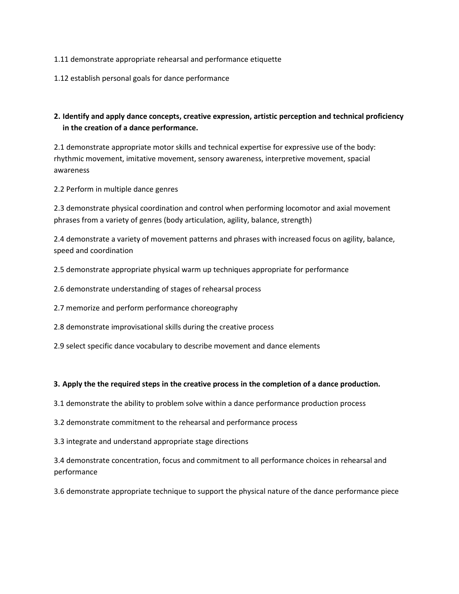- 1.11 demonstrate appropriate rehearsal and performance etiquette
- 1.12 establish personal goals for dance performance

# **2. Identify and apply dance concepts, creative expression, artistic perception and technical proficiency in the creation of a dance performance.**

2.1 demonstrate appropriate motor skills and technical expertise for expressive use of the body: rhythmic movement, imitative movement, sensory awareness, interpretive movement, spacial awareness

2.2 Perform in multiple dance genres

2.3 demonstrate physical coordination and control when performing locomotor and axial movement phrases from a variety of genres (body articulation, agility, balance, strength)

2.4 demonstrate a variety of movement patterns and phrases with increased focus on agility, balance, speed and coordination

2.5 demonstrate appropriate physical warm up techniques appropriate for performance

2.6 demonstrate understanding of stages of rehearsal process

- 2.7 memorize and perform performance choreography
- 2.8 demonstrate improvisational skills during the creative process
- 2.9 select specific dance vocabulary to describe movement and dance elements

#### **3. Apply the the required steps in the creative process in the completion of a dance production.**

- 3.1 demonstrate the ability to problem solve within a dance performance production process
- 3.2 demonstrate commitment to the rehearsal and performance process
- 3.3 integrate and understand appropriate stage directions

3.4 demonstrate concentration, focus and commitment to all performance choices in rehearsal and performance

3.6 demonstrate appropriate technique to support the physical nature of the dance performance piece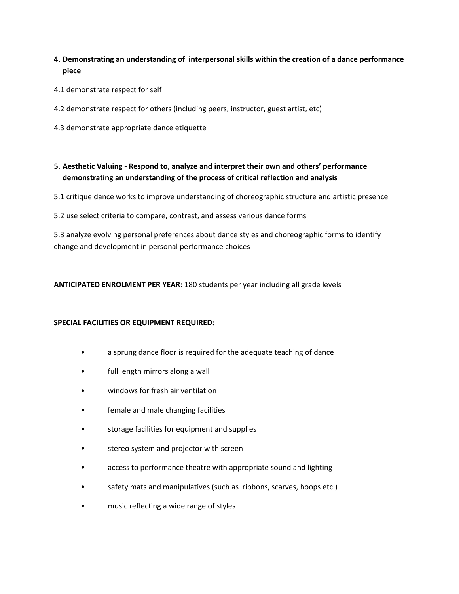- **4. Demonstrating an understanding of interpersonal skills within the creation of a dance performance piece**
- 4.1 demonstrate respect for self
- 4.2 demonstrate respect for others (including peers, instructor, guest artist, etc)
- 4.3 demonstrate appropriate dance etiquette

# **5. Aesthetic Valuing - Respond to, analyze and interpret their own and others' performance demonstrating an understanding of the process of critical reflection and analysis**

- 5.1 critique dance works to improve understanding of choreographic structure and artistic presence
- 5.2 use select criteria to compare, contrast, and assess various dance forms

5.3 analyze evolving personal preferences about dance styles and choreographic forms to identify change and development in personal performance choices

# **ANTICIPATED ENROLMENT PER YEAR:** 180 students per year including all grade levels

## **SPECIAL FACILITIES OR EQUIPMENT REQUIRED:**

- a sprung dance floor is required for the adequate teaching of dance
- full length mirrors along a wall
- windows for fresh air ventilation
- female and male changing facilities
- storage facilities for equipment and supplies
- stereo system and projector with screen
- access to performance theatre with appropriate sound and lighting
- safety mats and manipulatives (such as ribbons, scarves, hoops etc.)
- music reflecting a wide range of styles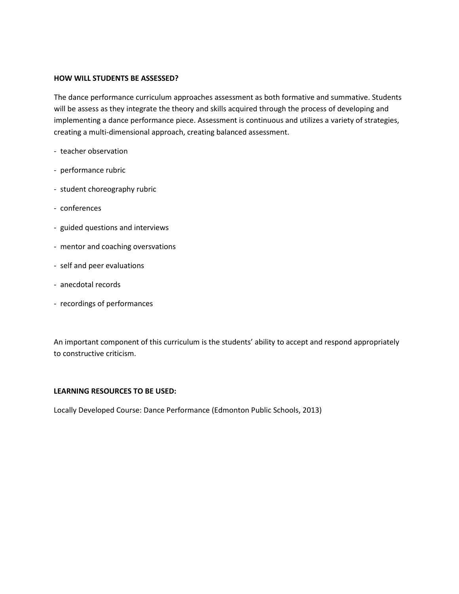#### **HOW WILL STUDENTS BE ASSESSED?**

The dance performance curriculum approaches assessment as both formative and summative. Students will be assess as they integrate the theory and skills acquired through the process of developing and implementing a dance performance piece. Assessment is continuous and utilizes a variety of strategies, creating a multi-dimensional approach, creating balanced assessment.

- teacher observation
- performance rubric
- student choreography rubric
- conferences
- guided questions and interviews
- mentor and coaching oversvations
- self and peer evaluations
- anecdotal records
- recordings of performances

An important component of this curriculum is the students' ability to accept and respond appropriately to constructive criticism.

#### **LEARNING RESOURCES TO BE USED:**

Locally Developed Course: Dance Performance (Edmonton Public Schools, 2013)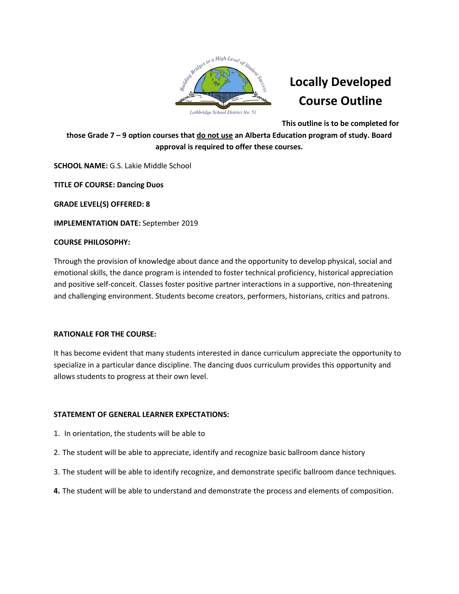

**This outline is to be completed for**

**those Grade 7 – 9 option courses that do not use an Alberta Education program of study. Board approval is required to offer these courses.**

**SCHOOL NAME:** G.S. Lakie Middle School

**TITLE OF COURSE: Dancing Duos**

**GRADE LEVEL(S) OFFERED: 8**

**IMPLEMENTATION DATE:** September 2019

## **COURSE PHILOSOPHY:**

Through the provision of knowledge about dance and the opportunity to develop physical, social and emotional skills, the dance program is intended to foster technical proficiency, historical appreciation and positive self-conceit. Classes foster positive partner interactions in a supportive, non-threatening and challenging environment. Students become creators, performers, historians, critics and patrons.

## **RATIONALE FOR THE COURSE:**

It has become evident that many students interested in dance curriculum appreciate the opportunity to specialize in a particular dance discipline. The dancing duos curriculum provides this opportunity and allows students to progress at their own level.

## **STATEMENT OF GENERAL LEARNER EXPECTATIONS:**

- 1. In orientation, the students will be able to
- 2. The student will be able to appreciate, identify and recognize basic ballroom dance history
- 3. The student will be able to identify recognize, and demonstrate specific ballroom dance techniques.
- **4.** The student will be able to understand and demonstrate the process and elements of composition.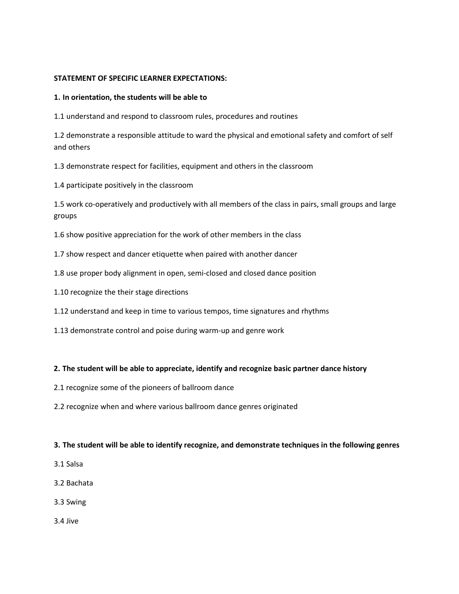#### **STATEMENT OF SPECIFIC LEARNER EXPECTATIONS:**

#### **1. In orientation, the students will be able to**

1.1 understand and respond to classroom rules, procedures and routines

1.2 demonstrate a responsible attitude to ward the physical and emotional safety and comfort of self and others

1.3 demonstrate respect for facilities, equipment and others in the classroom

1.4 participate positively in the classroom

1.5 work co-operatively and productively with all members of the class in pairs, small groups and large groups

1.6 show positive appreciation for the work of other members in the class

- 1.7 show respect and dancer etiquette when paired with another dancer
- 1.8 use proper body alignment in open, semi-closed and closed dance position
- 1.10 recognize the their stage directions
- 1.12 understand and keep in time to various tempos, time signatures and rhythms
- 1.13 demonstrate control and poise during warm-up and genre work

## **2. The student will be able to appreciate, identify and recognize basic partner dance history**

- 2.1 recognize some of the pioneers of ballroom dance
- 2.2 recognize when and where various ballroom dance genres originated

#### **3. The student will be able to identify recognize, and demonstrate techniques in the following genres**

- 3.1 Salsa
- 3.2 Bachata
- 3.3 Swing
- 3.4 Jive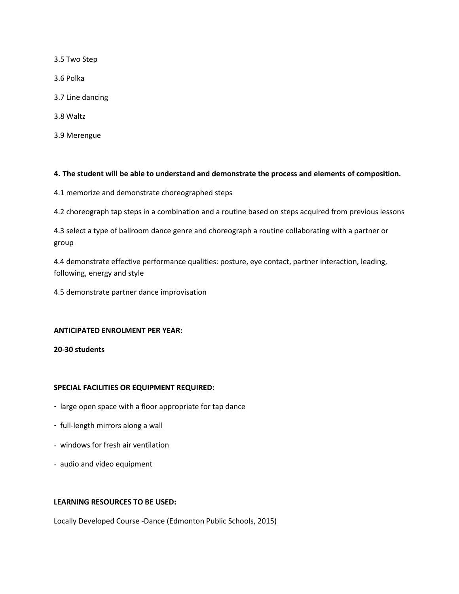3.5 Two Step

3.6 Polka

- 3.7 Line dancing
- 3.8 Waltz
- 3.9 Merengue

#### **4. The student will be able to understand and demonstrate the process and elements of composition.**

4.1 memorize and demonstrate choreographed steps

4.2 choreograph tap steps in a combination and a routine based on steps acquired from previous lessons

4.3 select a type of ballroom dance genre and choreograph a routine collaborating with a partner or group

4.4 demonstrate effective performance qualities: posture, eye contact, partner interaction, leading, following, energy and style

4.5 demonstrate partner dance improvisation

#### **ANTICIPATED ENROLMENT PER YEAR:**

**20-30 students**

## **SPECIAL FACILITIES OR EQUIPMENT REQUIRED:**

- large open space with a floor appropriate for tap dance
- full-length mirrors along a wall
- windows for fresh air ventilation
- audio and video equipment

#### **LEARNING RESOURCES TO BE USED:**

Locally Developed Course -Dance (Edmonton Public Schools, 2015)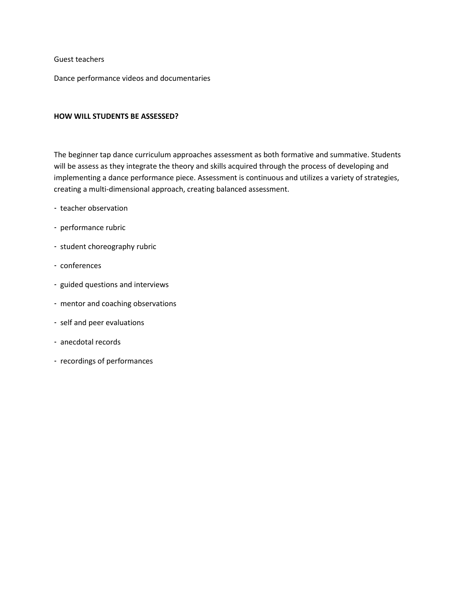#### Guest teachers

Dance performance videos and documentaries

#### **HOW WILL STUDENTS BE ASSESSED?**

The beginner tap dance curriculum approaches assessment as both formative and summative. Students will be assess as they integrate the theory and skills acquired through the process of developing and implementing a dance performance piece. Assessment is continuous and utilizes a variety of strategies, creating a multi-dimensional approach, creating balanced assessment.

- teacher observation
- performance rubric
- student choreography rubric
- conferences
- guided questions and interviews
- mentor and coaching observations
- self and peer evaluations
- anecdotal records
- recordings of performances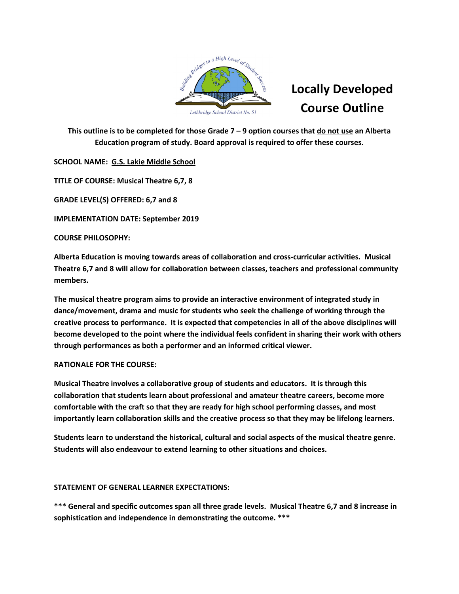

**This outline is to be completed for those Grade 7 – 9 option courses that do not use an Alberta Education program of study. Board approval is required to offer these courses.** 

**SCHOOL NAME: G.S. Lakie Middle School** 

**TITLE OF COURSE: Musical Theatre 6,7, 8** 

**GRADE LEVEL(S) OFFERED: 6,7 and 8**

**IMPLEMENTATION DATE: September 2019**

**COURSE PHILOSOPHY:**

**Alberta Education is moving towards areas of collaboration and cross-curricular activities. Musical Theatre 6,7 and 8 will allow for collaboration between classes, teachers and professional community members.** 

**The musical theatre program aims to provide an interactive environment of integrated study in dance/movement, drama and music for students who seek the challenge of working through the creative process to performance. It is expected that competencies in all of the above disciplines will become developed to the point where the individual feels confident in sharing their work with others through performances as both a performer and an informed critical viewer.** 

## **RATIONALE FOR THE COURSE:**

**Musical Theatre involves a collaborative group of students and educators. It is through this collaboration that students learn about professional and amateur theatre careers, become more comfortable with the craft so that they are ready for high school performing classes, and most importantly learn collaboration skills and the creative process so that they may be lifelong learners.** 

**Students learn to understand the historical, cultural and social aspects of the musical theatre genre. Students will also endeavour to extend learning to other situations and choices.** 

## **STATEMENT OF GENERAL LEARNER EXPECTATIONS:**

**\*\*\* General and specific outcomes span all three grade levels. Musical Theatre 6,7 and 8 increase in sophistication and independence in demonstrating the outcome. \*\*\***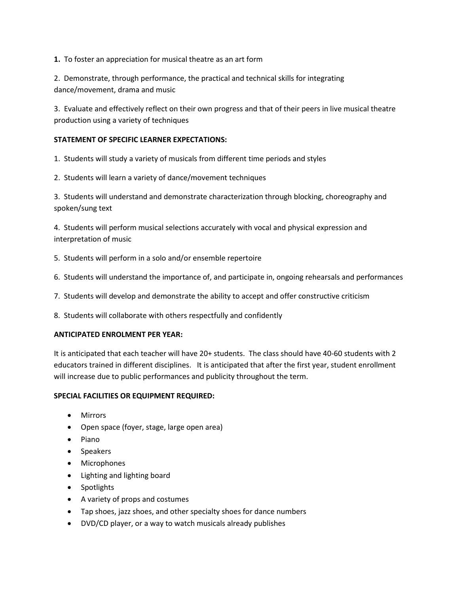**1.** To foster an appreciation for musical theatre as an art form

2. Demonstrate, through performance, the practical and technical skills for integrating dance/movement, drama and music

3. Evaluate and effectively reflect on their own progress and that of their peers in live musical theatre production using a variety of techniques

## **STATEMENT OF SPECIFIC LEARNER EXPECTATIONS:**

1. Students will study a variety of musicals from different time periods and styles

2. Students will learn a variety of dance/movement techniques

3. Students will understand and demonstrate characterization through blocking, choreography and spoken/sung text

4. Students will perform musical selections accurately with vocal and physical expression and interpretation of music

- 5. Students will perform in a solo and/or ensemble repertoire
- 6. Students will understand the importance of, and participate in, ongoing rehearsals and performances
- 7. Students will develop and demonstrate the ability to accept and offer constructive criticism
- 8. Students will collaborate with others respectfully and confidently

## **ANTICIPATED ENROLMENT PER YEAR:**

It is anticipated that each teacher will have 20+ students. The class should have 40-60 students with 2 educators trained in different disciplines. It is anticipated that after the first year, student enrollment will increase due to public performances and publicity throughout the term.

## **SPECIAL FACILITIES OR EQUIPMENT REQUIRED:**

- Mirrors
- Open space (foyer, stage, large open area)
- Piano
- Speakers
- Microphones
- Lighting and lighting board
- Spotlights
- A variety of props and costumes
- Tap shoes, jazz shoes, and other specialty shoes for dance numbers
- DVD/CD player, or a way to watch musicals already publishes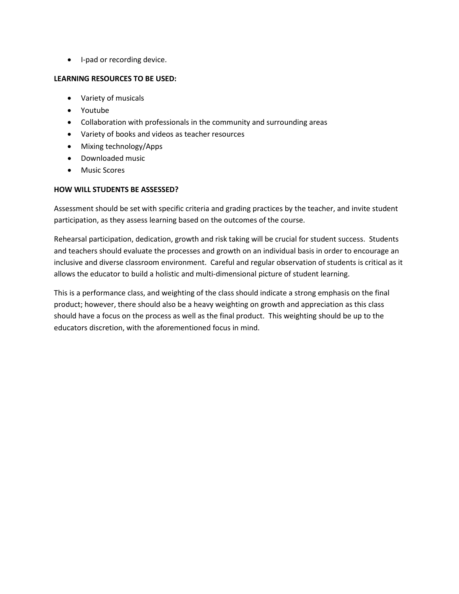• I-pad or recording device.

## **LEARNING RESOURCES TO BE USED:**

- Variety of musicals
- Youtube
- Collaboration with professionals in the community and surrounding areas
- Variety of books and videos as teacher resources
- Mixing technology/Apps
- Downloaded music
- Music Scores

# **HOW WILL STUDENTS BE ASSESSED?**

Assessment should be set with specific criteria and grading practices by the teacher, and invite student participation, as they assess learning based on the outcomes of the course.

Rehearsal participation, dedication, growth and risk taking will be crucial for student success. Students and teachers should evaluate the processes and growth on an individual basis in order to encourage an inclusive and diverse classroom environment. Careful and regular observation of students is critical as it allows the educator to build a holistic and multi-dimensional picture of student learning.

This is a performance class, and weighting of the class should indicate a strong emphasis on the final product; however, there should also be a heavy weighting on growth and appreciation as this class should have a focus on the process as well as the final product. This weighting should be up to the educators discretion, with the aforementioned focus in mind.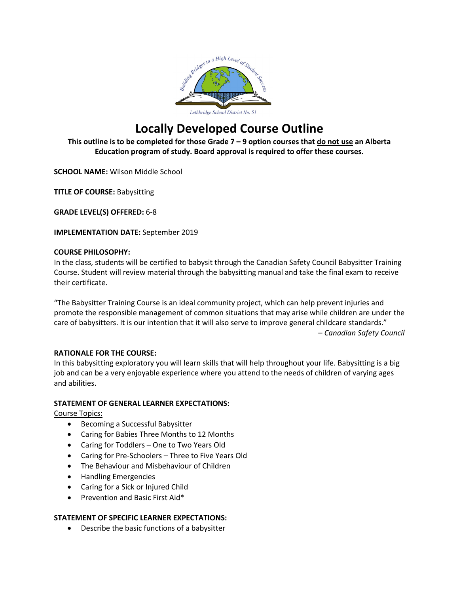

**This outline is to be completed for those Grade 7 – 9 option courses that do not use an Alberta Education program of study. Board approval is required to offer these courses.** 

**SCHOOL NAME:** Wilson Middle School

**TITLE OF COURSE:** Babysitting

**GRADE LEVEL(S) OFFERED:** 6-8

**IMPLEMENTATION DATE:** September 2019

## **COURSE PHILOSOPHY:**

In the class, students will be certified to babysit through the Canadian Safety Council Babysitter Training Course. Student will review material through the babysitting manual and take the final exam to receive their certificate.

"The Babysitter Training Course is an ideal community project, which can help prevent injuries and promote the responsible management of common situations that may arise while children are under the care of babysitters. It is our intention that it will also serve to improve general childcare standards." – *Canadian Safety Council* 

## **RATIONALE FOR THE COURSE:**

In this babysitting exploratory you will learn skills that will help throughout your life. Babysitting is a big job and can be a very enjoyable experience where you attend to the needs of children of varying ages and abilities.

## **STATEMENT OF GENERAL LEARNER EXPECTATIONS:**

Course Topics:

- Becoming a Successful Babysitter
- Caring for Babies Three Months to 12 Months
- Caring for Toddlers One to Two Years Old
- Caring for Pre-Schoolers Three to Five Years Old
- The Behaviour and Misbehaviour of Children
- Handling Emergencies
- Caring for a Sick or Injured Child
- Prevention and Basic First Aid\*

## **STATEMENT OF SPECIFIC LEARNER EXPECTATIONS:**

• Describe the basic functions of a babysitter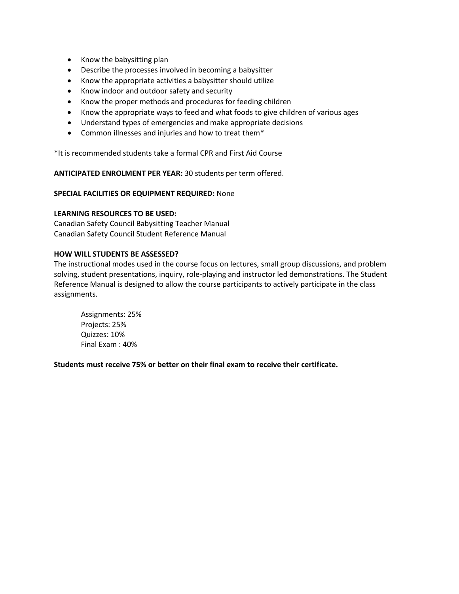- Know the babysitting plan
- Describe the processes involved in becoming a babysitter
- Know the appropriate activities a babysitter should utilize
- Know indoor and outdoor safety and security
- Know the proper methods and procedures for feeding children
- Know the appropriate ways to feed and what foods to give children of various ages
- Understand types of emergencies and make appropriate decisions
- Common illnesses and injuries and how to treat them\*

\*It is recommended students take a formal CPR and First Aid Course

**ANTICIPATED ENROLMENT PER YEAR:** 30 students per term offered.

#### **SPECIAL FACILITIES OR EQUIPMENT REQUIRED:** None

#### **LEARNING RESOURCES TO BE USED:**

Canadian Safety Council Babysitting Teacher Manual Canadian Safety Council Student Reference Manual

#### **HOW WILL STUDENTS BE ASSESSED?**

The instructional modes used in the course focus on lectures, small group discussions, and problem solving, student presentations, inquiry, role-playing and instructor led demonstrations. The Student Reference Manual is designed to allow the course participants to actively participate in the class assignments.

Assignments: 25% Projects: 25% Quizzes: 10% Final Exam : 40%

**Students must receive 75% or better on their final exam to receive their certificate.**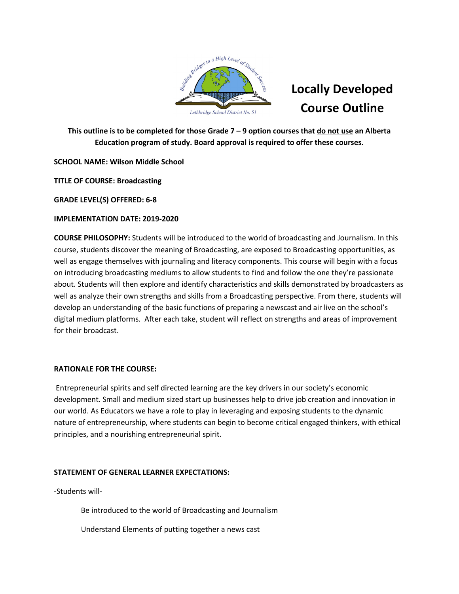

**This outline is to be completed for those Grade 7 – 9 option courses that do not use an Alberta Education program of study. Board approval is required to offer these courses.** 

# **SCHOOL NAME: Wilson Middle School**

**TITLE OF COURSE: Broadcasting**

**GRADE LEVEL(S) OFFERED: 6-8**

# **IMPLEMENTATION DATE: 2019-2020**

**COURSE PHILOSOPHY:** Students will be introduced to the world of broadcasting and Journalism. In this course, students discover the meaning of Broadcasting, are exposed to Broadcasting opportunities, as well as engage themselves with journaling and literacy components. This course will begin with a focus on introducing broadcasting mediums to allow students to find and follow the one they're passionate about. Students will then explore and identify characteristics and skills demonstrated by broadcasters as well as analyze their own strengths and skills from a Broadcasting perspective. From there, students will develop an understanding of the basic functions of preparing a newscast and air live on the school's digital medium platforms. After each take, student will reflect on strengths and areas of improvement for their broadcast.

# **RATIONALE FOR THE COURSE:**

Entrepreneurial spirits and self directed learning are the key drivers in our society's economic development. Small and medium sized start up businesses help to drive job creation and innovation in our world. As Educators we have a role to play in leveraging and exposing students to the dynamic nature of entrepreneurship, where students can begin to become critical engaged thinkers, with ethical principles, and a nourishing entrepreneurial spirit.

# **STATEMENT OF GENERAL LEARNER EXPECTATIONS:**

-Students will-

Be introduced to the world of Broadcasting and Journalism

Understand Elements of putting together a news cast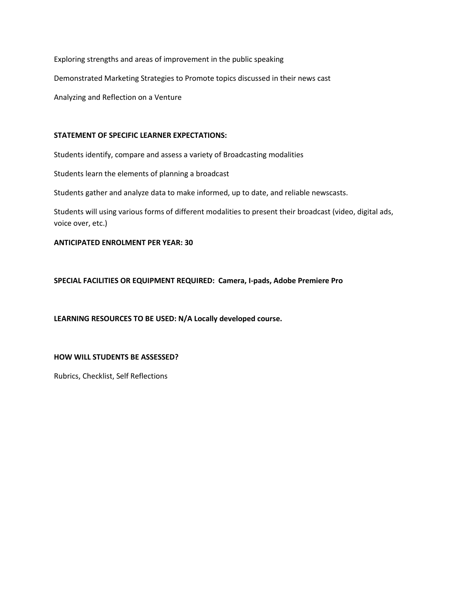Exploring strengths and areas of improvement in the public speaking Demonstrated Marketing Strategies to Promote topics discussed in their news cast Analyzing and Reflection on a Venture

#### **STATEMENT OF SPECIFIC LEARNER EXPECTATIONS:**

Students identify, compare and assess a variety of Broadcasting modalities

Students learn the elements of planning a broadcast

Students gather and analyze data to make informed, up to date, and reliable newscasts.

Students will using various forms of different modalities to present their broadcast (video, digital ads, voice over, etc.)

## **ANTICIPATED ENROLMENT PER YEAR: 30**

**SPECIAL FACILITIES OR EQUIPMENT REQUIRED: Camera, I-pads, Adobe Premiere Pro**

**LEARNING RESOURCES TO BE USED: N/A Locally developed course.**

## **HOW WILL STUDENTS BE ASSESSED?**

Rubrics, Checklist, Self Reflections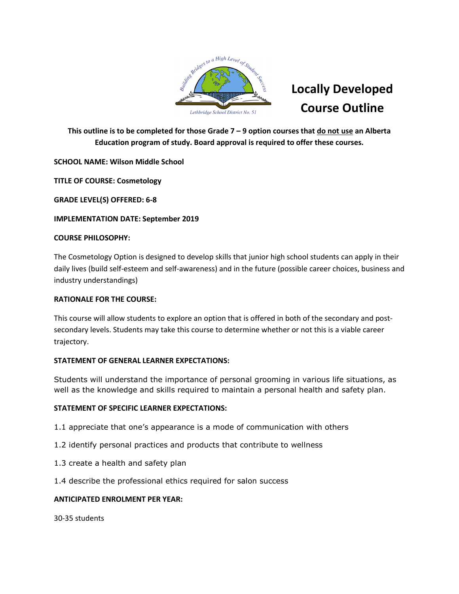

**This outline is to be completed for those Grade 7 – 9 option courses that do not use an Alberta Education program of study. Board approval is required to offer these courses.** 

# **SCHOOL NAME: Wilson Middle School**

**TITLE OF COURSE: Cosmetology**

**GRADE LEVEL(S) OFFERED: 6-8**

## **IMPLEMENTATION DATE: September 2019**

## **COURSE PHILOSOPHY:**

The Cosmetology Option is designed to develop skills that junior high school students can apply in their daily lives (build self-esteem and self-awareness) and in the future (possible career choices, business and industry understandings)

## **RATIONALE FOR THE COURSE:**

This course will allow students to explore an option that is offered in both of the secondary and postsecondary levels. Students may take this course to determine whether or not this is a viable career trajectory.

## **STATEMENT OF GENERAL LEARNER EXPECTATIONS:**

Students will understand the importance of personal grooming in various life situations, as well as the knowledge and skills required to maintain a personal health and safety plan.

# **STATEMENT OF SPECIFIC LEARNER EXPECTATIONS:**

- 1.1 appreciate that one's appearance is a mode of communication with others
- 1.2 identify personal practices and products that contribute to wellness
- 1.3 create a health and safety plan
- 1.4 describe the professional ethics required for salon success

## **ANTICIPATED ENROLMENT PER YEAR:**

30-35 students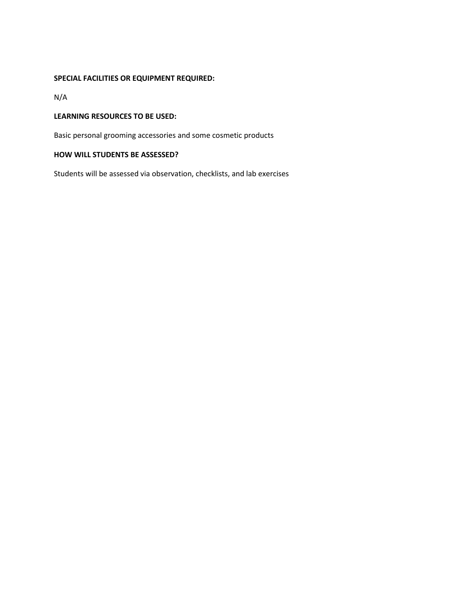## **SPECIAL FACILITIES OR EQUIPMENT REQUIRED:**

N/A

## **LEARNING RESOURCES TO BE USED:**

Basic personal grooming accessories and some cosmetic products

## **HOW WILL STUDENTS BE ASSESSED?**

Students will be assessed via observation, checklists, and lab exercises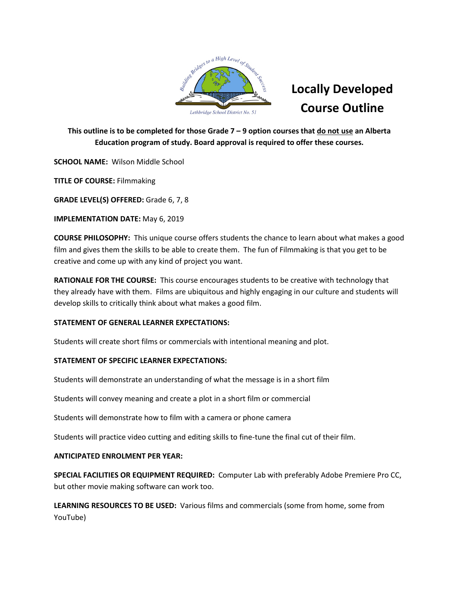

**This outline is to be completed for those Grade 7 – 9 option courses that do not use an Alberta Education program of study. Board approval is required to offer these courses.** 

**SCHOOL NAME:** Wilson Middle School

**TITLE OF COURSE:** Filmmaking

**GRADE LEVEL(S) OFFERED:** Grade 6, 7, 8

**IMPLEMENTATION DATE:** May 6, 2019

**COURSE PHILOSOPHY:** This unique course offers students the chance to learn about what makes a good film and gives them the skills to be able to create them. The fun of Filmmaking is that you get to be creative and come up with any kind of project you want.

**RATIONALE FOR THE COURSE:** This course encourages students to be creative with technology that they already have with them. Films are ubiquitous and highly engaging in our culture and students will develop skills to critically think about what makes a good film.

# **STATEMENT OF GENERAL LEARNER EXPECTATIONS:**

Students will create short films or commercials with intentional meaning and plot.

# **STATEMENT OF SPECIFIC LEARNER EXPECTATIONS:**

Students will demonstrate an understanding of what the message is in a short film

Students will convey meaning and create a plot in a short film or commercial

Students will demonstrate how to film with a camera or phone camera

Students will practice video cutting and editing skills to fine-tune the final cut of their film.

# **ANTICIPATED ENROLMENT PER YEAR:**

**SPECIAL FACILITIES OR EQUIPMENT REQUIRED:** Computer Lab with preferably Adobe Premiere Pro CC, but other movie making software can work too.

**LEARNING RESOURCES TO BE USED:** Various films and commercials (some from home, some from YouTube)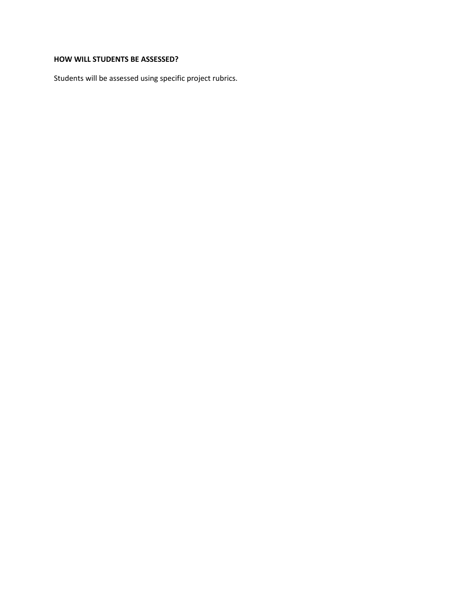# **HOW WILL STUDENTS BE ASSESSED?**

Students will be assessed using specific project rubrics.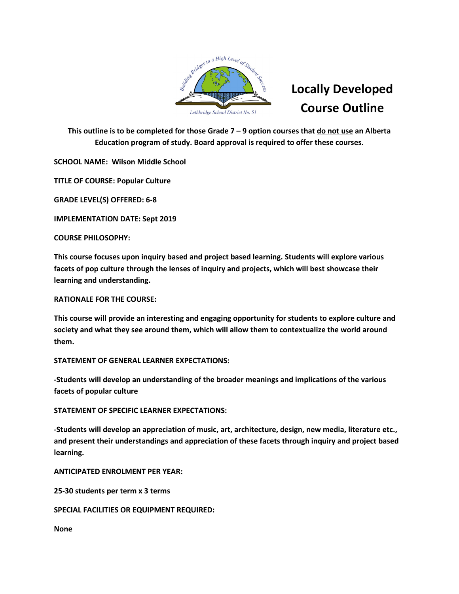

**This outline is to be completed for those Grade 7 – 9 option courses that do not use an Alberta Education program of study. Board approval is required to offer these courses.** 

**SCHOOL NAME: Wilson Middle School**

**TITLE OF COURSE: Popular Culture**

**GRADE LEVEL(S) OFFERED: 6-8**

**IMPLEMENTATION DATE: Sept 2019**

**COURSE PHILOSOPHY:**

**This course focuses upon inquiry based and project based learning. Students will explore various facets of pop culture through the lenses of inquiry and projects, which will best showcase their learning and understanding.**

**RATIONALE FOR THE COURSE:**

**This course will provide an interesting and engaging opportunity for students to explore culture and society and what they see around them, which will allow them to contextualize the world around them.**

**STATEMENT OF GENERAL LEARNER EXPECTATIONS:**

**-Students will develop an understanding of the broader meanings and implications of the various facets of popular culture**

**STATEMENT OF SPECIFIC LEARNER EXPECTATIONS:**

**-Students will develop an appreciation of music, art, architecture, design, new media, literature etc., and present their understandings and appreciation of these facets through inquiry and project based learning.**

**ANTICIPATED ENROLMENT PER YEAR:** 

**25-30 students per term x 3 terms**

**SPECIAL FACILITIES OR EQUIPMENT REQUIRED:** 

**None**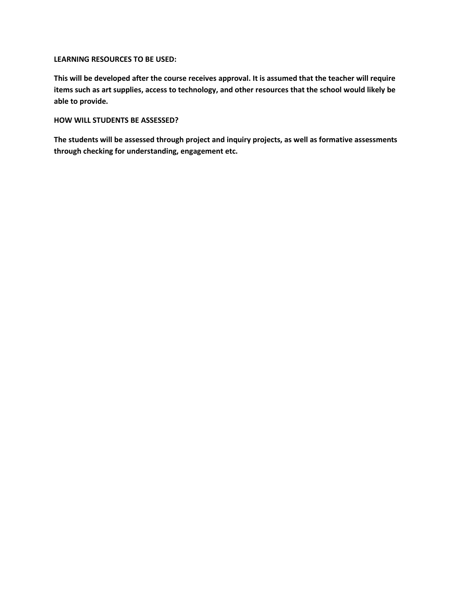#### **LEARNING RESOURCES TO BE USED:**

**This will be developed after the course receives approval. It is assumed that the teacher will require items such as art supplies, access to technology, and other resources that the school would likely be able to provide.**

## **HOW WILL STUDENTS BE ASSESSED?**

**The students will be assessed through project and inquiry projects, as well as formative assessments through checking for understanding, engagement etc.**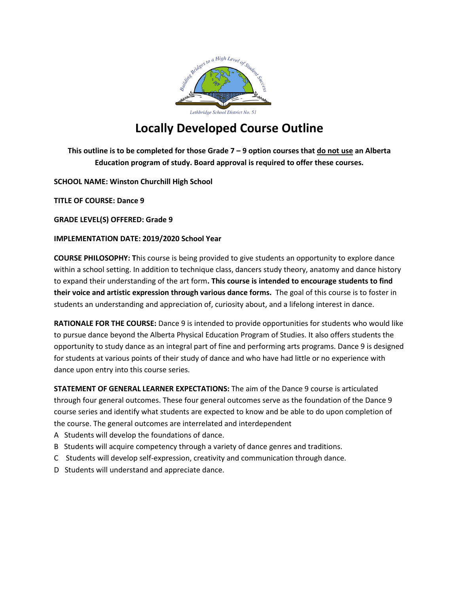

**This outline is to be completed for those Grade 7 – 9 option courses that do not use an Alberta Education program of study. Board approval is required to offer these courses.** 

**SCHOOL NAME: Winston Churchill High School**

**TITLE OF COURSE: Dance 9**

**GRADE LEVEL(S) OFFERED: Grade 9**

## **IMPLEMENTATION DATE: 2019/2020 School Year**

**COURSE PHILOSOPHY: T**his course is being provided to give students an opportunity to explore dance within a school setting. In addition to technique class, dancers study theory, anatomy and dance history to expand their understanding of the art form**. This course is intended to encourage students to find their voice and artistic expression through various dance forms.** The goal of this course is to foster in students an understanding and appreciation of, curiosity about, and a lifelong interest in dance.

**RATIONALE FOR THE COURSE:** Dance 9 is intended to provide opportunities for students who would like to pursue dance beyond the Alberta Physical Education Program of Studies. It also offers students the opportunity to study dance as an integral part of fine and performing arts programs. Dance 9 is designed for students at various points of their study of dance and who have had little or no experience with dance upon entry into this course series.

**STATEMENT OF GENERAL LEARNER EXPECTATIONS:** The aim of the Dance 9 course is articulated through four general outcomes. These four general outcomes serve as the foundation of the Dance 9 course series and identify what students are expected to know and be able to do upon completion of the course. The general outcomes are interrelated and interdependent

- A Students will develop the foundations of dance.
- B Students will acquire competency through a variety of dance genres and traditions.
- C Students will develop self-expression, creativity and communication through dance.
- D Students will understand and appreciate dance.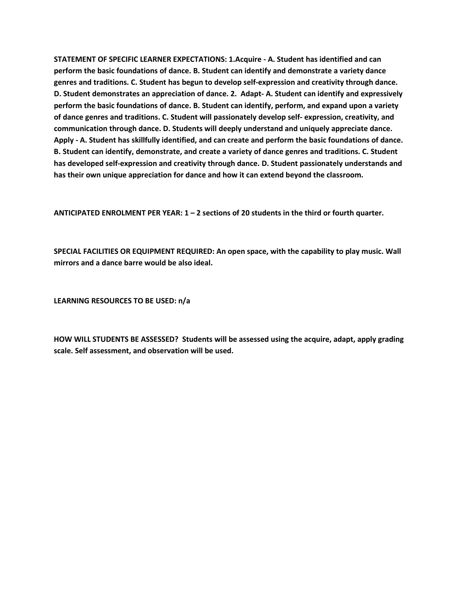**STATEMENT OF SPECIFIC LEARNER EXPECTATIONS: 1.Acquire - A. Student has identified and can perform the basic foundations of dance. B. Student can identify and demonstrate a variety dance genres and traditions. C. Student has begun to develop self-expression and creativity through dance. D. Student demonstrates an appreciation of dance. 2. Adapt- A. Student can identify and expressively perform the basic foundations of dance. B. Student can identify, perform, and expand upon a variety of dance genres and traditions. C. Student will passionately develop self- expression, creativity, and communication through dance. D. Students will deeply understand and uniquely appreciate dance. Apply - A. Student has skillfully identified, and can create and perform the basic foundations of dance. B. Student can identify, demonstrate, and create a variety of dance genres and traditions. C. Student has developed self-expression and creativity through dance. D. Student passionately understands and has their own unique appreciation for dance and how it can extend beyond the classroom.** 

**ANTICIPATED ENROLMENT PER YEAR: 1 – 2 sections of 20 students in the third or fourth quarter.** 

**SPECIAL FACILITIES OR EQUIPMENT REQUIRED: An open space, with the capability to play music. Wall mirrors and a dance barre would be also ideal.** 

**LEARNING RESOURCES TO BE USED: n/a**

**HOW WILL STUDENTS BE ASSESSED? Students will be assessed using the acquire, adapt, apply grading scale. Self assessment, and observation will be used.**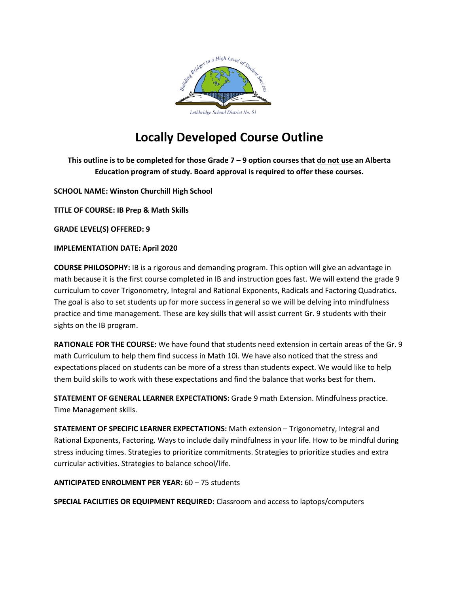

**This outline is to be completed for those Grade 7 – 9 option courses that do not use an Alberta Education program of study. Board approval is required to offer these courses.** 

**SCHOOL NAME: Winston Churchill High School**

**TITLE OF COURSE: IB Prep & Math Skills**

**GRADE LEVEL(S) OFFERED: 9**

**IMPLEMENTATION DATE: April 2020**

**COURSE PHILOSOPHY:** IB is a rigorous and demanding program. This option will give an advantage in math because it is the first course completed in IB and instruction goes fast. We will extend the grade 9 curriculum to cover Trigonometry, Integral and Rational Exponents, Radicals and Factoring Quadratics. The goal is also to set students up for more success in general so we will be delving into mindfulness practice and time management. These are key skills that will assist current Gr. 9 students with their sights on the IB program.

**RATIONALE FOR THE COURSE:** We have found that students need extension in certain areas of the Gr. 9 math Curriculum to help them find success in Math 10i. We have also noticed that the stress and expectations placed on students can be more of a stress than students expect. We would like to help them build skills to work with these expectations and find the balance that works best for them.

**STATEMENT OF GENERAL LEARNER EXPECTATIONS:** Grade 9 math Extension. Mindfulness practice. Time Management skills.

**STATEMENT OF SPECIFIC LEARNER EXPECTATIONS:** Math extension – Trigonometry, Integral and Rational Exponents, Factoring. Ways to include daily mindfulness in your life. How to be mindful during stress inducing times. Strategies to prioritize commitments. Strategies to prioritize studies and extra curricular activities. Strategies to balance school/life.

**ANTICIPATED ENROLMENT PER YEAR:** 60 – 75 students

**SPECIAL FACILITIES OR EQUIPMENT REQUIRED:** Classroom and access to laptops/computers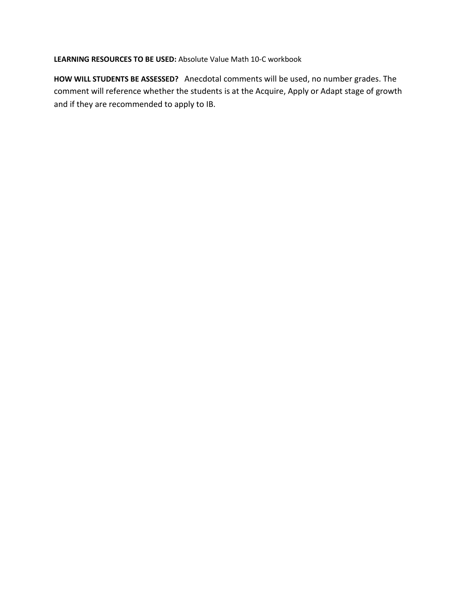**LEARNING RESOURCES TO BE USED:** Absolute Value Math 10-C workbook

**HOW WILL STUDENTS BE ASSESSED?** Anecdotal comments will be used, no number grades. The comment will reference whether the students is at the Acquire, Apply or Adapt stage of growth and if they are recommended to apply to IB.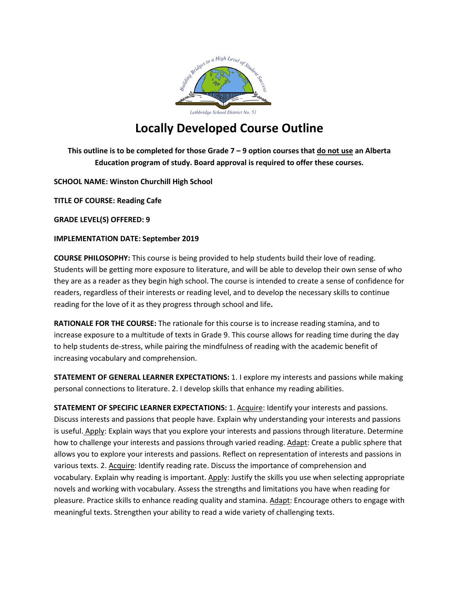

**This outline is to be completed for those Grade 7 – 9 option courses that do not use an Alberta Education program of study. Board approval is required to offer these courses.** 

**SCHOOL NAME: Winston Churchill High School**

**TITLE OF COURSE: Reading Cafe**

**GRADE LEVEL(S) OFFERED: 9**

## **IMPLEMENTATION DATE: September 2019**

**COURSE PHILOSOPHY:** This course is being provided to help students build their love of reading. Students will be getting more exposure to literature, and will be able to develop their own sense of who they are as a reader as they begin high school. The course is intended to create a sense of confidence for readers, regardless of their interests or reading level, and to develop the necessary skills to continue reading for the love of it as they progress through school and life**.**

**RATIONALE FOR THE COURSE:** The rationale for this course is to increase reading stamina, and to increase exposure to a multitude of texts in Grade 9. This course allows for reading time during the day to help students de-stress, while pairing the mindfulness of reading with the academic benefit of increasing vocabulary and comprehension.

**STATEMENT OF GENERAL LEARNER EXPECTATIONS:** 1. I explore my interests and passions while making personal connections to literature. 2. I develop skills that enhance my reading abilities.

**STATEMENT OF SPECIFIC LEARNER EXPECTATIONS:** 1. Acquire: Identify your interests and passions. Discuss interests and passions that people have. Explain why understanding your interests and passions is useful. Apply: Explain ways that you explore your interests and passions through literature. Determine how to challenge your interests and passions through varied reading. Adapt: Create a public sphere that allows you to explore your interests and passions. Reflect on representation of interests and passions in various texts. 2. Acquire: Identify reading rate. Discuss the importance of comprehension and vocabulary. Explain why reading is important. Apply: Justify the skills you use when selecting appropriate novels and working with vocabulary. Assess the strengths and limitations you have when reading for pleasure. Practice skills to enhance reading quality and stamina. Adapt: Encourage others to engage with meaningful texts. Strengthen your ability to read a wide variety of challenging texts.